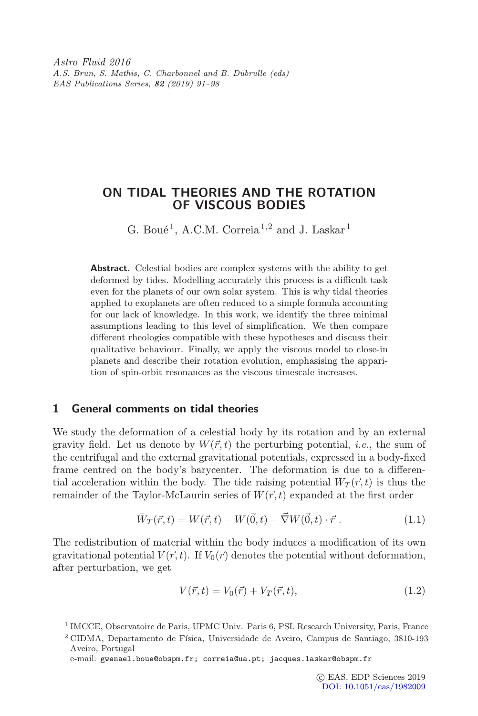Astro Fluid 2016 A.S. Brun, S. Mathis, C. Charbonnel and B. Dubrulle (eds) EAS Publications Series, 82 (2019) 91–98

# ON TIDAL THEORIES AND THE ROTATION OF VISCOUS BODIES

G. Boué<sup>1</sup>, A.C.M. Correia<sup>1,2</sup> and J. Laskar<sup>1</sup>

Abstract. Celestial bodies are complex systems with the ability to get deformed by tides. Modelling accurately this process is a difficult task even for the planets of our own solar system. This is why tidal theories applied to exoplanets are often reduced to a simple formula accounting for our lack of knowledge. In this work, we identify the three minimal assumptions leading to this level of simplification. We then compare different rheologies compatible with these hypotheses and discuss their qualitative behaviour. Finally, we apply the viscous model to close-in planets and describe their rotation evolution, emphasising the apparition of spin-orbit resonances as the viscous timescale increases.

### 1 General comments on tidal theories

We study the deformation of a celestial body by its rotation and by an external gravity field. Let us denote by  $W(\vec{r}, t)$  the perturbing potential, *i.e.*, the sum of the centrifugal and the external gravitational potentials, expressed in a body-fixed frame centred on the body's barycenter. The deformation is due to a differential acceleration within the body. The tide raising potential  $W_T(\vec{r}, t)$  is thus the remainder of the Taylor-McLaurin series of  $W(\vec{r}, t)$  expanded at the first order

$$
\bar{W}_T(\vec{r},t) = W(\vec{r},t) - W(\vec{0},t) - \vec{\nabla}W(\vec{0},t) \cdot \vec{r} . \qquad (1.1)
$$

<span id="page-0-0"></span>The redistribution of material within the body induces a modification of its own gravitational potential  $V(\vec{r}, t)$ . If  $V_0(\vec{r})$  denotes the potential without deformation, after perturbation, we get

$$
V(\vec{r},t) = V_0(\vec{r}) + V_T(\vec{r},t),
$$
\n(1.2)

e-mail: gwenael.boue@obspm.fr; correia@ua.pt; jacques.laskar@obspm.fr

<sup>1</sup> IMCCE, Observatoire de Paris, UPMC Univ. Paris 6, PSL Research University, Paris, France

 $2$  CIDMA, Departamento de Física, Universidade de Aveiro, Campus de Santiago, 3810-193 Aveiro, Portugal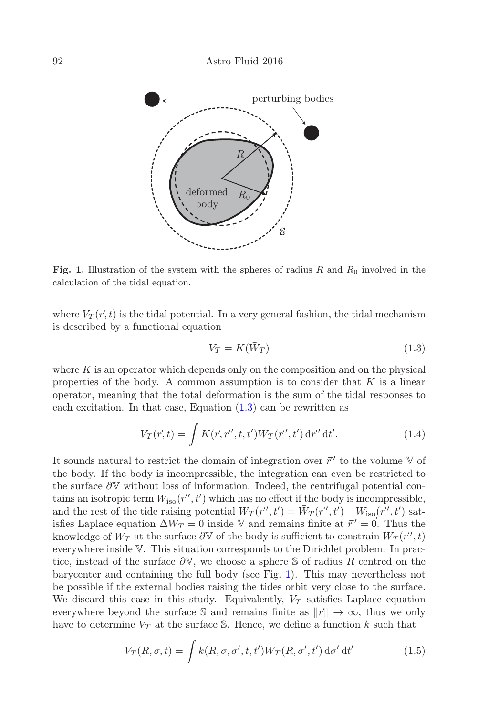

Fig. 1. Illustration of the system with the spheres of radius  $R$  and  $R_0$  involved in the calculation of the tidal equation.

where  $V_T(\vec{r}, t)$  is the tidal potential. In a very general fashion, the tidal mechanism is described by a functional equation

<span id="page-1-0"></span>
$$
V_T = K(\bar{W}_T) \tag{1.3}
$$

where  $K$  is an operator which depends only on the composition and on the physical properties of the body. A common assumption is to consider that  $K$  is a linear operator, meaning that the total deformation is the sum of the tidal responses to each excitation. In that case, Equation  $(1.3)$  can be rewritten as

$$
V_T(\vec{r},t) = \int K(\vec{r},\vec{r}',t,t') \bar{W}_T(\vec{r}',t') d\vec{r}' dt'. \qquad (1.4)
$$

It sounds natural to restrict the domain of integration over  $\vec{r}'$  to the volume  $\mathbb {V}$  of the body. If the body is incompressible, the integration can even be restricted to the surface ∂V without loss of information. Indeed, the centrifugal potential contains an isotropic term  $W_{\text{iso}}(\vec{r}', t')$  which has no effect if the body is incompressible, and the rest of the tide raising potential  $W_T(\vec{r}', t') = \bar{W}_T(\vec{r}', t') - W_{\text{iso}}(\vec{r}', t')$  sat-<br>infect and see counting  $\Delta W$ , and in anonymorphic finite at  $\vec{s}'$ ,  $\vec{\Delta}$ , Thus the isfies Laplace equation  $\Delta W_T = 0$  inside V and remains finite at  $\vec{r}' = \vec{0}$ . Thus the knowledge of  $W_T$  at the surface  $\partial \mathbb{V}$  of the body is sufficient to constrain  $W_T(\vec{r}', t)$ everywhere inside V. This situation corresponds to the Dirichlet problem. In practice, instead of the surface  $\partial \mathbb{V}$ , we choose a sphere S of radius R centred on the barycenter and containing the full body (see Fig. [1\)](#page-1-0). This may nevertheless not be possible if the external bodies raising the tides orbit very close to the surface. We discard this case in this study. Equivalently,  $V_T$  satisfies Laplace equation everywhere beyond the surface S and remains finite as  $\|\vec{r}\| \to \infty$ , thus we only have to determine  $V_T$  at the surface S. Hence, we define a function k such that

<span id="page-1-1"></span>
$$
V_T(R, \sigma, t) = \int k(R, \sigma, \sigma', t, t') W_T(R, \sigma', t') d\sigma' dt'
$$
 (1.5)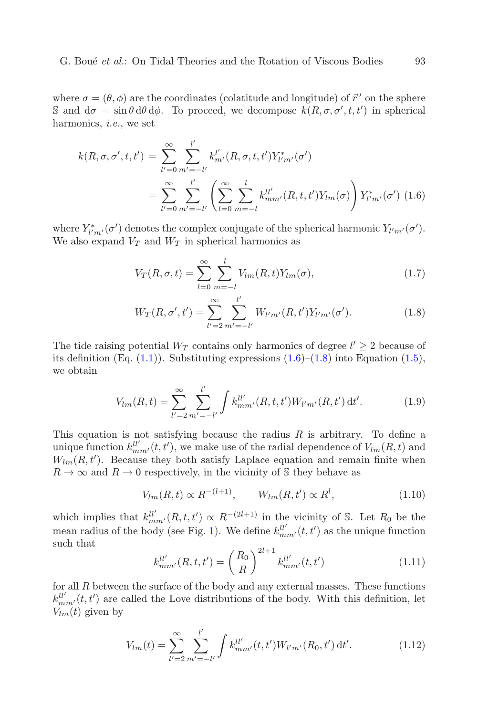<span id="page-2-0"></span>where  $\sigma = (\theta, \phi)$  are the coordinates (colatitude and longitude) of  $\vec{r}'$  on the sphere S and  $d\sigma = \sin \theta \, d\theta \, d\phi$ . To proceed, we decompose  $k(R, \sigma, \sigma', t, t')$  in spherical harmonics, i.e., we set

$$
k(R, \sigma, \sigma', t, t') = \sum_{l'=0}^{\infty} \sum_{m'= -l'}^{l'} k_{m'}^{l'}(R, \sigma, t, t') Y_{l'm'}^{*}(\sigma')
$$
  
= 
$$
\sum_{l'=0}^{\infty} \sum_{m'=-l'}^{l'} \left( \sum_{l=0}^{\infty} \sum_{m=-l}^{l} k_{mm'}^{ll'}(R, t, t') Y_{lm}(\sigma) \right) Y_{l'm'}^{*}(\sigma')
$$
(1.6)

<span id="page-2-1"></span>where  $Y^*_{l'm'}(\sigma')$  denotes the complex conjugate of the spherical harmonic  $Y_{l'm'}(\sigma')$ . We also expand  $V_T$  and  $W_T$  in spherical harmonics as

$$
V_T(R, \sigma, t) = \sum_{l=0}^{\infty} \sum_{m=-l}^{l} V_{lm}(R, t) Y_{lm}(\sigma),
$$
\n(1.7)

$$
W_T(R, \sigma', t') = \sum_{l'=2}^{\infty} \sum_{m'= -l'}^{l'} W_{l'm'}(R, t') Y_{l'm'}(\sigma'). \qquad (1.8)
$$

The tide raising potential  $W_T$  contains only harmonics of degree  $l' \geq 2$  because of its definition (Eq.  $(1.1)$ ). Substituting expressions  $(1.6)$ – $(1.8)$  into Equation  $(1.5)$ , we obtain

$$
V_{lm}(R,t) = \sum_{l'=2}^{\infty} \sum_{m'= -l'}^{l'} \int k_{mm'}^{ll'}(R,t,t') W_{l'm'}(R,t') dt'.
$$
 (1.9)

This equation is not satisfying because the radius  $R$  is arbitrary. To define a unique function  $k_{mm'}^{ll'}(t, t')$ , we make use of the radial dependence of  $V_{lm}(R, t)$  and  $W_{lm}(R, t')$ . Because they both satisfy Laplace equation and remain finite when  $R \to \infty$  and  $R \to 0$  respectively, in the vicinity of S they behave as

$$
V_{lm}(R,t) \propto R^{-(l+1)}, \qquad W_{lm}(R,t') \propto R^l,
$$
\n(1.10)

which implies that  $k_{mm'}^{ll'}(R, t, t') \propto R^{-(2l+1)}$  in the vicinity of S. Let  $R_0$  be the mean radius of the body (see Fig. [1\)](#page-1-0). We define  $k_{mm'}^{ll'}(t, t')$  as the unique function such that  $21 + 1$ 

$$
k_{mm'}^{ll'}(R,t,t') = \left(\frac{R_0}{R}\right)^{2l+1} k_{mm'}^{ll'}(t,t') \tag{1.11}
$$

<span id="page-2-2"></span>for all  $R$  between the surface of the body and any external masses. These functions  $k_{mm'}^{ll'}(t,t')$  are called the Love distributions of the body. With this definition, let  $V_{lm}(t)$  given by

$$
V_{lm}(t) = \sum_{l'=2}^{\infty} \sum_{m'=-l'}^{l'} \int k_{mm'}^{ll'}(t, t') W_{l'm'}(R_0, t') dt'.
$$
 (1.12)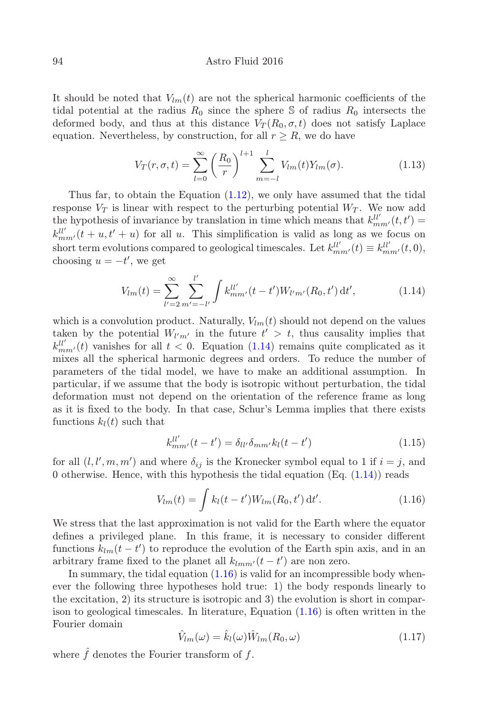#### 94 Astro Fluid 2016

It should be noted that  $V_{lm}(t)$  are not the spherical harmonic coefficients of the tidal potential at the radius  $R_0$  since the sphere S of radius  $R_0$  intersects the deformed body, and thus at this distance  $V_T(R_0, \sigma, t)$  does not satisfy Laplace equation. Nevertheless, by construction, for all  $r \geq R$ , we do have

$$
V_T(r, \sigma, t) = \sum_{l=0}^{\infty} \left(\frac{R_0}{r}\right)^{l+1} \sum_{m=-l}^{l} V_{lm}(t) Y_{lm}(\sigma).
$$
 (1.13)

Thus far, to obtain the Equation [\(1.12\)](#page-2-2), we only have assumed that the tidal response  $V_T$  is linear with respect to the perturbing potential  $W_T$ . We now add the hypothesis of invariance by translation in time which means that  $k_{mm'}^{ll'}(t,t') =$  $k_{mm'}^{ll'}(t+u,t'+u)$  for all u. This simplification is valid as long as we focus on short term evolutions compared to geological timescales. Let  $k_{mm'}^{ll'}(t) \equiv k_{mm'}^{ll'}(t,0)$ , choosing  $u = -t'$ , we get

$$
V_{lm}(t) = \sum_{l'=2}^{\infty} \sum_{m'= -l'}^{l'} \int k_{mm'}^{ll'} (t - t') W_{l'm'}(R_0, t') dt', \qquad (1.14)
$$

<span id="page-3-0"></span>which is a convolution product. Naturally,  $V_{lm}(t)$  should not depend on the values taken by the potential  $W_{l'm'}$  in the future  $t' > t$ , thus causality implies that  $k_{mm'}^{ll'}(t)$  vanishes for all  $t < 0$ . Equation [\(1.14\)](#page-3-0) remains quite complicated as it mixes all the spherical harmonic degrees and orders. To reduce the number of parameters of the tidal model, we have to make an additional assumption. In particular, if we assume that the body is isotropic without perturbation, the tidal deformation must not depend on the orientation of the reference frame as long as it is fixed to the body. In that case, Schur's Lemma implies that there exists functions  $k_l(t)$  such that

$$
k_{mm'}^{ll'}(t-t') = \delta_{ll'}\delta_{mm'}k_l(t-t') \tag{1.15}
$$

for all  $(l, l', m, m')$  and where  $\delta_{ij}$  is the Kronecker symbol equal to 1 if  $i = j$ , and 0 otherwise. Hence, with this hypothesis the tidal equation (Eq.  $(1.14)$ ) reads

$$
V_{lm}(t) = \int k_l(t - t')W_{lm}(R_0, t') dt'.
$$
 (1.16)

<span id="page-3-1"></span>We stress that the last approximation is not valid for the Earth where the equator defines a privileged plane. In this frame, it is necessary to consider different functions  $k_{lm}(t-t')$  to reproduce the evolution of the Earth spin axis, and in an arbitrary frame fixed to the planet all  $k_{lmm'}(t-t')$  are non zero.

In summary, the tidal equation  $(1.16)$  is valid for an incompressible body whenever the following three hypotheses hold true: 1) the body responds linearly to the excitation, 2) its structure is isotropic and 3) the evolution is short in comparison to geological timescales. In literature, Equation [\(1.16\)](#page-3-1) is often written in the Fourier domain

$$
\hat{V}_{lm}(\omega) = \hat{k}_l(\omega)\hat{W}_{lm}(R_0,\omega)
$$
\n(1.17)

where  $\hat{f}$  denotes the Fourier transform of  $f$ .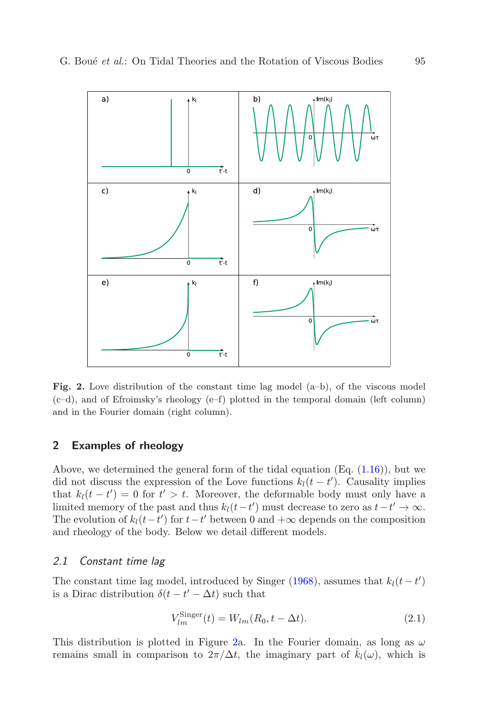

Fig. 2. Love distribution of the constant time lag model (a–b), of the viscous model (c–d), and of Efroimsky's rheology (e–f) plotted in the temporal domain (left column) and in the Fourier domain (right column).

## <span id="page-4-0"></span>2 Examples of rheology

Above, we determined the general form of the tidal equation (Eq.  $(1.16)$ ), but we did not discuss the expression of the Love functions  $k_l(t - t')$ . Causality implies that  $k_l(t-t') = 0$  for  $t' > t$ . Moreover, the deformable body must only have a limited memory of the past and thus  $k_l(t-t')$  must decrease to zero as  $t-t' \to \infty$ . The evolution of  $k_l(t-t')$  for  $t-t'$  between 0 and  $+\infty$  depends on the composition and rheology of the body. Below we detail different models.

## 2.1 Constant time lag

The constant time lag model, introduced by Singer [\(1968\)](#page-7-0), assumes that  $k_l(t-t')$ is a Dirac distribution  $\delta(t - t' - \Delta t)$  such that

$$
V_{lm}^{\text{Singer}}(t) = W_{lm}(R_0, t - \Delta t). \tag{2.1}
$$

This distribution is plotted in Figure [2a](#page-4-0). In the Fourier domain, as long as  $\omega$ remains small in comparison to  $2\pi/\Delta t$ , the imaginary part of  $\hat{k}_l(\omega)$ , which is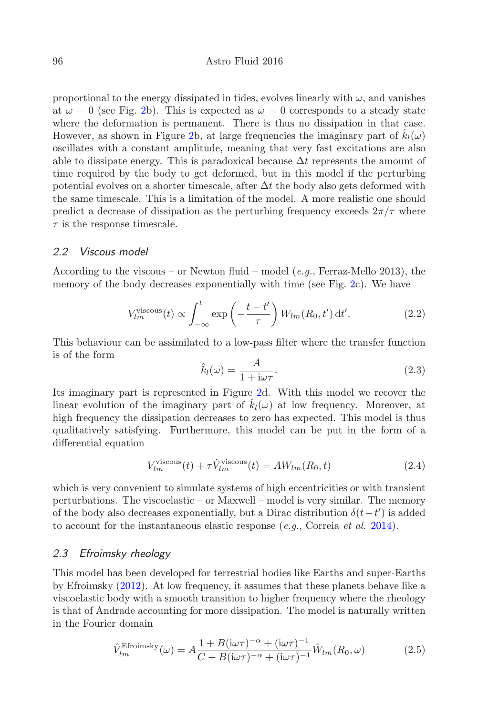proportional to the energy dissipated in tides, evolves linearly with  $\omega$ , and vanishes at  $\omega = 0$  (see Fig. [2b](#page-4-0)). This is expected as  $\omega = 0$  corresponds to a steady state where the deformation is permanent. There is thus no dissipation in that case. However, as shown in Figure [2b](#page-4-0), at large frequencies the imaginary part of  $\hat{k}_l(\omega)$ oscillates with a constant amplitude, meaning that very fast excitations are also able to dissipate energy. This is paradoxical because  $\Delta t$  represents the amount of time required by the body to get deformed, but in this model if the perturbing potential evolves on a shorter timescale, after  $\Delta t$  the body also gets deformed with the same timescale. This is a limitation of the model. A more realistic one should predict a decrease of dissipation as the perturbing frequency exceeds  $2\pi/\tau$  where  $\tau$  is the response timescale.

### <span id="page-5-0"></span>2.2 Viscous model

According to the viscous – or Newton fluid – model (e.g., Ferraz-Mello 2013), the memory of the body decreases exponentially with time (see Fig. [2c](#page-4-0)). We have

$$
V_{lm}^{\text{viscous}}(t) \propto \int_{-\infty}^{t} \exp\left(-\frac{t-t'}{\tau}\right) W_{lm}(R_0, t') dt'. \tag{2.2}
$$

This behaviour can be assimilated to a low-pass filter where the transfer function is of the form

$$
\hat{k}_l(\omega) = \frac{A}{1 + i\omega\tau}.
$$
\n(2.3)

Its imaginary part is represented in Figure [2d](#page-4-0). With this model we recover the linear evolution of the imaginary part of  $\hat{k}_l(\omega)$  at low frequency. Moreover, at high frequency the dissipation decreases to zero has expected. This model is thus qualitatively satisfying. Furthermore, this model can be put in the form of a differential equation

$$
V_{lm}^{\text{viscous}}(t) + \tau \dot{V}_{lm}^{\text{viscous}}(t) = AW_{lm}(R_0, t)
$$
\n(2.4)

which is very convenient to simulate systems of high eccentricities or with transient perturbations. The viscoelastic – or Maxwell – model is very similar. The memory of the body also decreases exponentially, but a Dirac distribution  $\delta(t-t')$  is added to account for the instantaneous elastic response  $(e.g.,$  Correia  $et al. 2014)$  $et al. 2014)$ .

### 2.3 Efroimsky rheology

This model has been developed for terrestrial bodies like Earths and super-Earths by Efroimsky [\(2012\)](#page-7-2). At low frequency, it assumes that these planets behave like a viscoelastic body with a smooth transition to higher frequency where the rheology is that of Andrade accounting for more dissipation. The model is naturally written in the Fourier domain

$$
\hat{V}_{lm}^{\text{Efroimsky}}(\omega) = A \frac{1 + B(i\omega\tau)^{-\alpha} + (i\omega\tau)^{-1}}{C + B(i\omega\tau)^{-\alpha} + (i\omega\tau)^{-1}} \hat{W}_{lm}(R_0, \omega)
$$
\n(2.5)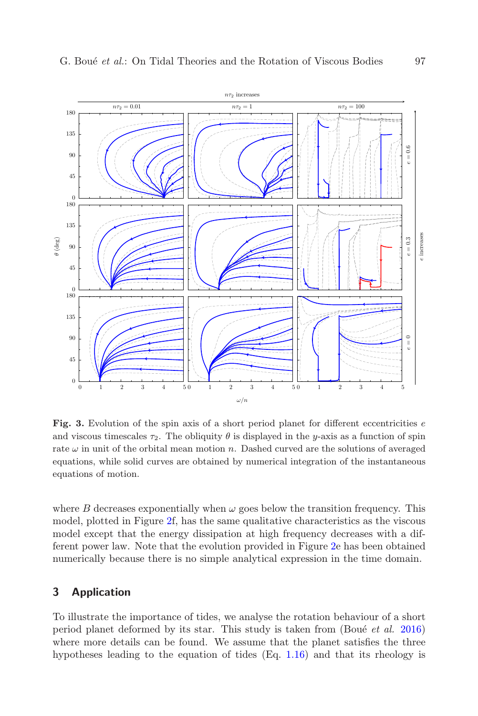

<span id="page-6-0"></span>Fig. 3. Evolution of the spin axis of a short period planet for different eccentricities  $e$ and viscous timescales  $\tau_2$ . The obliquity  $\theta$  is displayed in the y-axis as a function of spin rate  $\omega$  in unit of the orbital mean motion n. Dashed curved are the solutions of averaged equations, while solid curves are obtained by numerical integration of the instantaneous equations of motion.

where B decreases exponentially when  $\omega$  goes below the transition frequency. This model, plotted in Figure [2f](#page-4-0), has the same qualitative characteristics as the viscous model except that the energy dissipation at high frequency decreases with a different power law. Note that the evolution provided in Figure [2e](#page-4-0) has been obtained numerically because there is no simple analytical expression in the time domain.

#### 3 Application

To illustrate the importance of tides, we analyse the rotation behaviour of a short period planet deformed by its star. This study is taken from (Boué  $et \ al.$  [2016\)](#page-7-3) where more details can be found. We assume that the planet satisfies the three hypotheses leading to the equation of tides (Eq. [1.16\)](#page-3-1) and that its rheology is